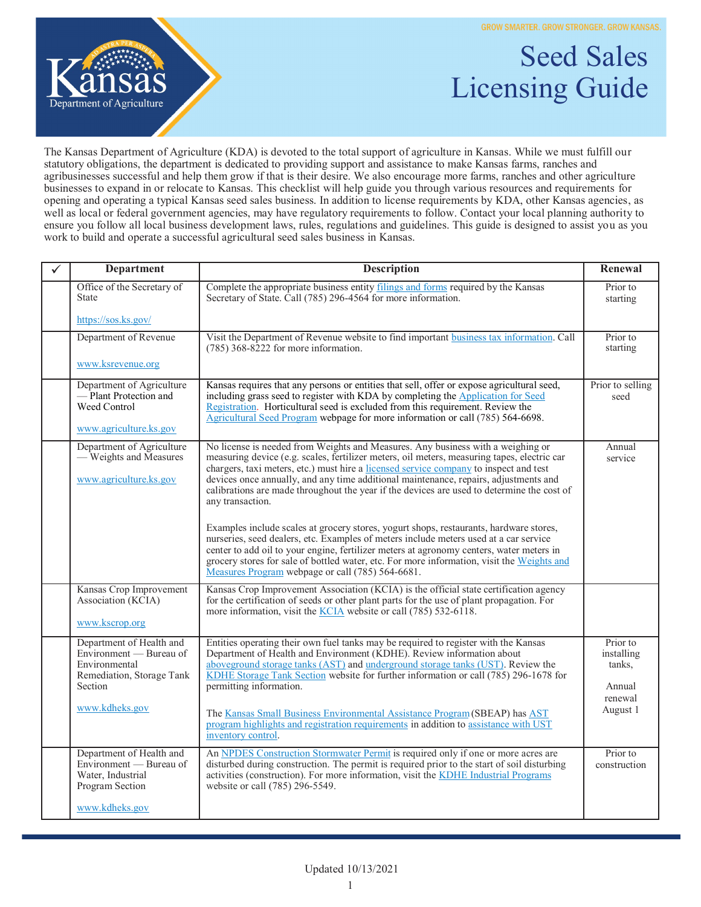**GROW SMARTER. GROW STRONGER. GROW KANSAS.** 

Seed Sales



## Licensing Guide

The Kansas Department of Agriculture (KDA) is devoted to the total support of agriculture in Kansas. While we must fulfill our statutory obligations, the department is dedicated to providing support and assistance to make Kansas farms, ranches and agribusinesses successful and help them grow if that is their desire. We also encourage more farms, ranches and other agriculture businesses to expand in or relocate to Kansas. This checklist will help guide you through various resources and requirements for opening and operating a typical Kansas seed sales business. In addition to license requirements by KDA, other Kansas agencies, as well as local or federal government agencies, may have regulatory requirements to follow. Contact your local planning authority to ensure you follow all local business development laws, rules, regulations and guidelines. This guide is designed to assist you as you work to build and operate a successful agricultural seed sales business in Kansas.

| ✓ | <b>Department</b>                                                                                                              | <b>Description</b>                                                                                                                                                                                                                                                                                                                                                                                                                                                                                                                                            | Renewal                                                           |
|---|--------------------------------------------------------------------------------------------------------------------------------|---------------------------------------------------------------------------------------------------------------------------------------------------------------------------------------------------------------------------------------------------------------------------------------------------------------------------------------------------------------------------------------------------------------------------------------------------------------------------------------------------------------------------------------------------------------|-------------------------------------------------------------------|
|   | Office of the Secretary of<br><b>State</b>                                                                                     | Complete the appropriate business entity filings and forms required by the Kansas<br>Secretary of State. Call (785) 296-4564 for more information.                                                                                                                                                                                                                                                                                                                                                                                                            | Prior to<br>starting                                              |
|   | https://sos.ks.gov/                                                                                                            |                                                                                                                                                                                                                                                                                                                                                                                                                                                                                                                                                               |                                                                   |
|   | Department of Revenue                                                                                                          | Visit the Department of Revenue website to find important business tax information. Call<br>$(785)$ 368-8222 for more information.                                                                                                                                                                                                                                                                                                                                                                                                                            | Prior to<br>starting                                              |
|   | www.ksrevenue.org                                                                                                              |                                                                                                                                                                                                                                                                                                                                                                                                                                                                                                                                                               |                                                                   |
|   | Department of Agriculture<br>- Plant Protection and<br>Weed Control<br>www.agriculture.ks.gov                                  | Kansas requires that any persons or entities that sell, offer or expose agricultural seed,<br>including grass seed to register with KDA by completing the Application for Seed<br>Registration. Horticultural seed is excluded from this requirement. Review the<br>Agricultural Seed Program webpage for more information or call (785) 564-6698.                                                                                                                                                                                                            | Prior to selling<br>seed                                          |
|   | Department of Agriculture<br>- Weights and Measures<br>www.agriculture.ks.gov                                                  | No license is needed from Weights and Measures. Any business with a weighing or<br>measuring device (e.g. scales, fertilizer meters, oil meters, measuring tapes, electric car<br>chargers, taxi meters, etc.) must hire a licensed service company to inspect and test<br>devices once annually, and any time additional maintenance, repairs, adjustments and<br>calibrations are made throughout the year if the devices are used to determine the cost of<br>any transaction.                                                                             | Annual<br>service                                                 |
|   |                                                                                                                                | Examples include scales at grocery stores, yogurt shops, restaurants, hardware stores,<br>nurseries, seed dealers, etc. Examples of meters include meters used at a car service<br>center to add oil to your engine, fertilizer meters at agronomy centers, water meters in<br>grocery stores for sale of bottled water, etc. For more information, visit the Weights and<br>Measures Program webpage or call (785) 564-6681.                                                                                                                                 |                                                                   |
|   | Kansas Crop Improvement<br>Association (KCIA)<br>www.kscrop.org                                                                | Kansas Crop Improvement Association (KCIA) is the official state certification agency<br>for the certification of seeds or other plant parts for the use of plant propagation. For<br>more information, visit the <u>KCIA</u> website or call (785) 532-6118.                                                                                                                                                                                                                                                                                                 |                                                                   |
|   | Department of Health and<br>Environment - Bureau of<br>Environmental<br>Remediation, Storage Tank<br>Section<br>www.kdheks.gov | Entities operating their own fuel tanks may be required to register with the Kansas<br>Department of Health and Environment (KDHE). Review information about<br>aboveground storage tanks (AST) and underground storage tanks (UST). Review the<br>KDHE Storage Tank Section website for further information or call (785) 296-1678 for<br>permitting information.<br>The Kansas Small Business Environmental Assistance Program (SBEAP) has AST<br>program highlights and registration requirements in addition to assistance with UST<br>inventory control. | Prior to<br>installing<br>tanks,<br>Annual<br>renewal<br>August 1 |
|   | Department of Health and<br>Environment — Bureau of<br>Water, Industrial<br>Program Section<br>www.kdheks.gov                  | An NPDES Construction Stormwater Permit is required only if one or more acres are<br>disturbed during construction. The permit is required prior to the start of soil disturbing<br>activities (construction). For more information, visit the KDHE Industrial Programs<br>website or call (785) 296-5549.                                                                                                                                                                                                                                                    | Prior to<br>construction                                          |